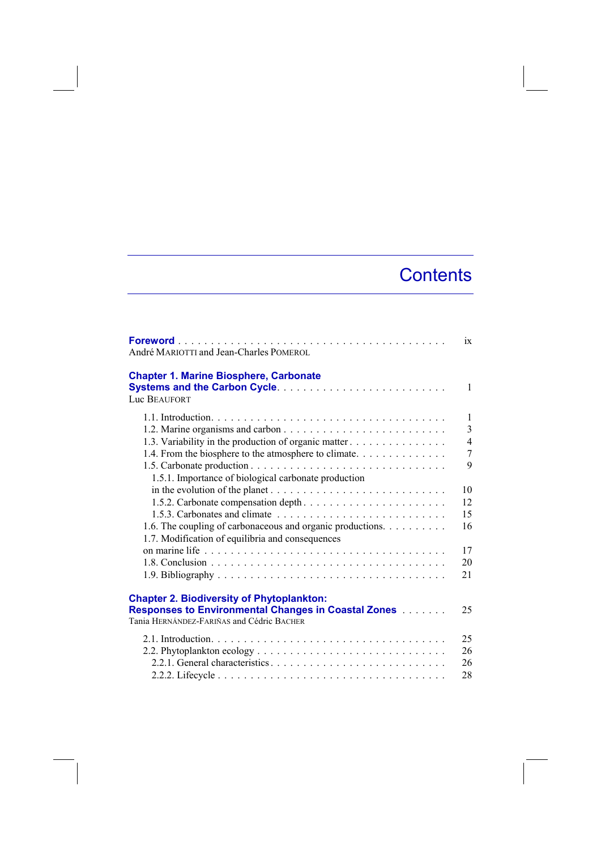## **Contents**

| André MARIOTTI and Jean-Charles POMEROL                                                                                                                               | ix             |
|-----------------------------------------------------------------------------------------------------------------------------------------------------------------------|----------------|
| <b>Chapter 1. Marine Biosphere, Carbonate</b><br><b>Luc BEAUFORT</b>                                                                                                  | $\mathbf{1}$   |
|                                                                                                                                                                       | $\mathbf{1}$   |
|                                                                                                                                                                       | 3              |
| 1.3. Variability in the production of organic matter                                                                                                                  | $\overline{4}$ |
| 1.4. From the biosphere to the atmosphere to climate.                                                                                                                 | 7              |
| 1.5.1. Importance of biological carbonate production                                                                                                                  | 9              |
|                                                                                                                                                                       | 10             |
|                                                                                                                                                                       | 12             |
|                                                                                                                                                                       | 15             |
| 1.6. The coupling of carbonaceous and organic productions.                                                                                                            | 16             |
| 1.7. Modification of equilibria and consequences                                                                                                                      |                |
|                                                                                                                                                                       | 17             |
|                                                                                                                                                                       | 20             |
|                                                                                                                                                                       | 21             |
| <b>Chapter 2. Biodiversity of Phytoplankton:</b><br><b>Responses to Environmental Changes in Coastal Zones [1] Lings</b><br>Tania HERNÁNDEZ-FARIÑAS and Cédric BACHER | 25             |
|                                                                                                                                                                       | 25             |
|                                                                                                                                                                       | 26             |
|                                                                                                                                                                       | 26             |
|                                                                                                                                                                       | 28             |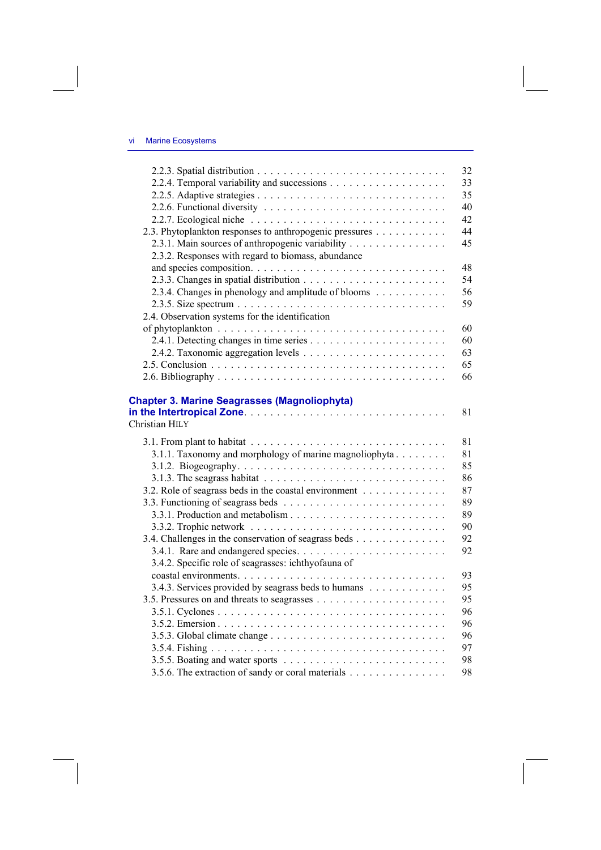|                                                                                              | 32 |
|----------------------------------------------------------------------------------------------|----|
|                                                                                              | 33 |
|                                                                                              | 35 |
|                                                                                              | 40 |
|                                                                                              | 42 |
| 2.3. Phytoplankton responses to anthropogenic pressures                                      | 44 |
| 2.3.1. Main sources of anthropogenic variability                                             | 45 |
| 2.3.2. Responses with regard to biomass, abundance                                           |    |
|                                                                                              | 48 |
|                                                                                              | 54 |
| 2.3.4. Changes in phenology and amplitude of blooms                                          | 56 |
|                                                                                              | 59 |
| 2.4. Observation systems for the identification                                              |    |
|                                                                                              | 60 |
|                                                                                              | 60 |
|                                                                                              | 63 |
|                                                                                              | 65 |
|                                                                                              | 66 |
|                                                                                              |    |
| <b>Chapter 3. Marine Seagrasses (Magnoliophyta)</b>                                          |    |
|                                                                                              | 81 |
| Christian HILY                                                                               |    |
|                                                                                              | 81 |
| 3.1.1. Taxonomy and morphology of marine magnoliophyta                                       | 81 |
|                                                                                              | 85 |
| 3.1.3. The seagrass habitat $\ldots \ldots \ldots \ldots \ldots \ldots \ldots \ldots \ldots$ |    |
|                                                                                              | 86 |
|                                                                                              | 87 |
| 3.2. Role of seagrass beds in the coastal environment                                        | 89 |
|                                                                                              | 89 |
|                                                                                              | 90 |
| 3.4. Challenges in the conservation of seagrass beds                                         | 92 |
|                                                                                              | 92 |
| 3.4.2. Specific role of seagrasses: ichthyofauna of                                          |    |
|                                                                                              | 93 |
| 3.4.3. Services provided by seagrass beds to humans                                          | 95 |
|                                                                                              | 95 |
|                                                                                              | 96 |
|                                                                                              | 96 |
|                                                                                              | 96 |
|                                                                                              | 97 |
|                                                                                              | 98 |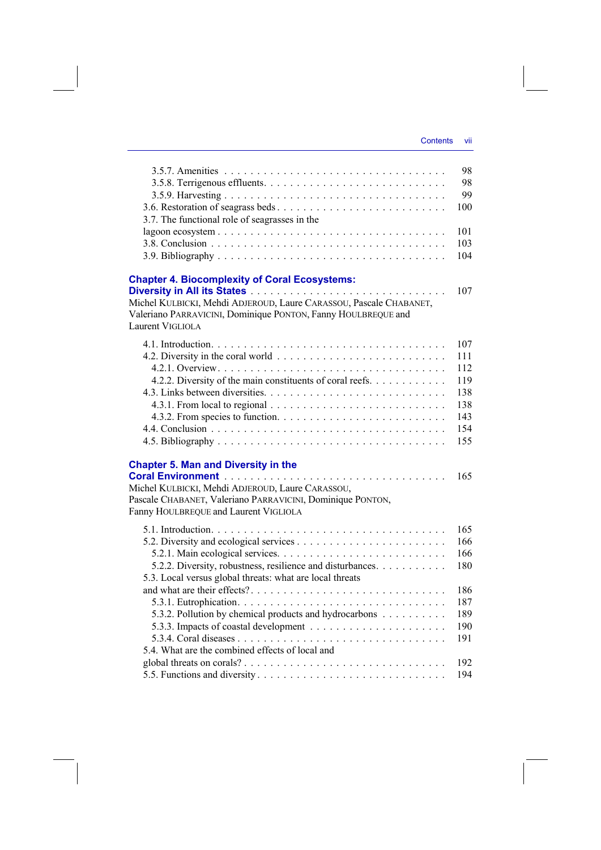|                                                                    | 98<br>98 |
|--------------------------------------------------------------------|----------|
|                                                                    | 99       |
|                                                                    | 100      |
| 3.7. The functional role of seagrasses in the                      |          |
|                                                                    | 101      |
|                                                                    | 103      |
|                                                                    | 104      |
|                                                                    |          |
| <b>Chapter 4. Biocomplexity of Coral Ecosystems:</b>               |          |
|                                                                    | 107      |
| Michel KULBICKI, Mehdi ADJEROUD, Laure CARASSOU, Pascale CHABANET, |          |
| Valeriano PARRAVICINI, Dominique PONTON, Fanny HOULBREQUE and      |          |
| Laurent VIGLIOLA                                                   |          |
|                                                                    | 107      |
|                                                                    | 111      |
|                                                                    | 112      |
| 4.2.2. Diversity of the main constituents of coral reefs.          | 119      |
|                                                                    | 138      |
|                                                                    | 138      |
|                                                                    | 143      |
|                                                                    | 154      |
|                                                                    | 155      |
| <b>Chapter 5. Man and Diversity in the</b>                         |          |
|                                                                    | 165      |
| Michel KULBICKI, Mehdi ADJEROUD, Laure CARASSOU,                   |          |
| Pascale CHABANET, Valeriano PARRAVICINI, Dominique PONTON,         |          |
| Fanny HOULBREQUE and Laurent VIGLIOLA                              |          |
|                                                                    | 165      |
|                                                                    | 166      |
|                                                                    | 166      |
| 5.2.2. Diversity, robustness, resilience and disturbances.         | 180      |
| 5.3. Local versus global threats: what are local threats           |          |
|                                                                    | 186      |
|                                                                    | 187      |
| 5.3.2. Pollution by chemical products and hydrocarbons             | 189      |
|                                                                    | 190      |
|                                                                    | 191      |
| 5.4. What are the combined effects of local and                    |          |
|                                                                    | 192      |

5.5. Functions and diversity . . . . . . . . . . . . . . . . . . . . . . . . . . . . . 194